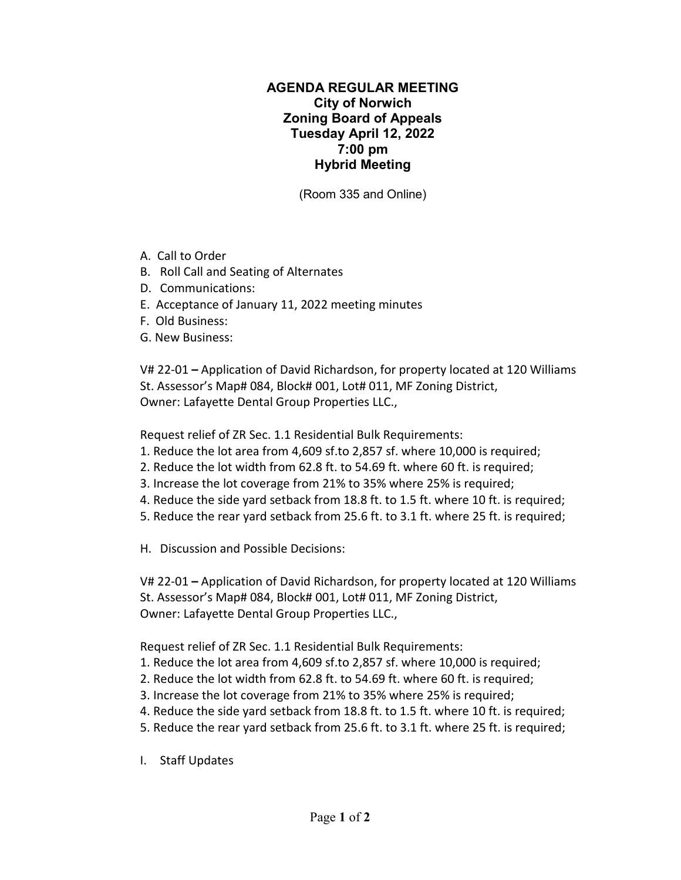## **AGENDA REGULAR MEETING City of Norwich Zoning Board of Appeals Tuesday April 12, 2022 7:00 pm Hybrid Meeting**

(Room 335 and Online)

- A. Call to Order
- B. Roll Call and Seating of Alternates
- D. Communications:
- E. Acceptance of January 11, 2022 meeting minutes
- F. Old Business:
- G. New Business:

V# 22-01 **–** Application of David Richardson, for property located at 120 Williams St. Assessor's Map# 084, Block# 001, Lot# 011, MF Zoning District, Owner: Lafayette Dental Group Properties LLC.,

Request relief of ZR Sec. 1.1 Residential Bulk Requirements:

- 1. Reduce the lot area from 4,609 sf.to 2,857 sf. where 10,000 is required;
- 2. Reduce the lot width from 62.8 ft. to 54.69 ft. where 60 ft. is required;
- 3. Increase the lot coverage from 21% to 35% where 25% is required;
- 4. Reduce the side yard setback from 18.8 ft. to 1.5 ft. where 10 ft. is required;
- 5. Reduce the rear yard setback from 25.6 ft. to 3.1 ft. where 25 ft. is required;

H. Discussion and Possible Decisions:

V# 22-01 **–** Application of David Richardson, for property located at 120 Williams St. Assessor's Map# 084, Block# 001, Lot# 011, MF Zoning District, Owner: Lafayette Dental Group Properties LLC.,

Request relief of ZR Sec. 1.1 Residential Bulk Requirements:

- 1. Reduce the lot area from 4,609 sf.to 2,857 sf. where 10,000 is required;
- 2. Reduce the lot width from 62.8 ft. to 54.69 ft. where 60 ft. is required;
- 3. Increase the lot coverage from 21% to 35% where 25% is required;
- 4. Reduce the side yard setback from 18.8 ft. to 1.5 ft. where 10 ft. is required;
- 5. Reduce the rear yard setback from 25.6 ft. to 3.1 ft. where 25 ft. is required;
- I. Staff Updates